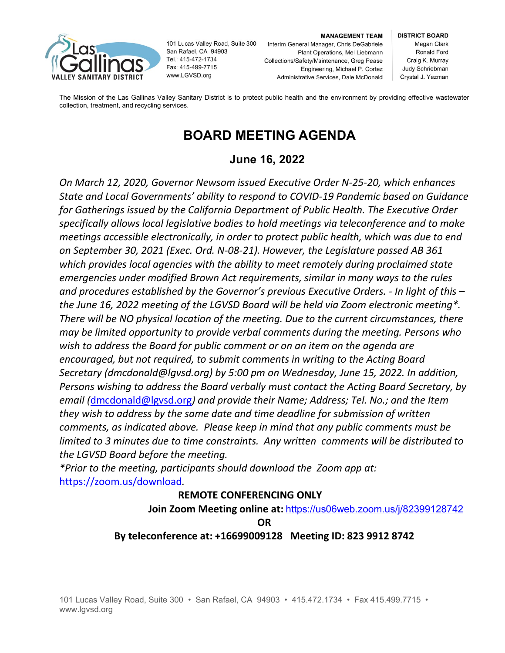

101 Lucas Valley Road, Suite 300 San Rafael, CA 94903 Tel.: 415-472-1734 Fax: 415-499-7715 www.LGVSD.org

### **MANAGEMENT TEAM**

Interim General Manager, Chris DeGabriele Plant Operations, Mel Liebmann Collections/Safety/Maintenance, Greg Pease Engineering, Michael P. Cortez Administrative Services, Dale McDonald

**DISTRICT BOARD** Megan Clark Ronald Ford Craig K. Murray Judy Schriebman Crystal J. Yezman

The Mission of the Las Gallinas Valley Sanitary District is to protect public health and the environment by providing effective wastewater collection, treatment, and recycling services.

# **BOARD MEETING AGENDA**

# **June 16, 2022**

*On March 12, 2020, Governor Newsom issued Executive Order N-25-20, which enhances State and Local Governments' ability to respond to COVID-19 Pandemic based on Guidance for Gatherings issued by the California Department of Public Health. The Executive Order specifically allows local legislative bodies to hold meetings via teleconference and to make meetings accessible electronically, in order to protect public health, which was due to end on September 30, 2021 (Exec. Ord. N-08-21). However, the Legislature passed AB 361 which provides local agencies with the ability to meet remotely during proclaimed state emergencies under modified Brown Act requirements, similar in many ways to the rules and procedures established by the Governor's previous Executive Orders. - In light of this – the June 16, 2022 meeting of the LGVSD Board will be held via Zoom electronic meeting\*. There will be NO physical location of the meeting. Due to the current circumstances, there may be limited opportunity to provide verbal comments during the meeting. Persons who wish to address the Board for public comment or on an item on the agenda are encouraged, but not required, to submit comments in writing to the Acting Board Secretary (dmcdonald@lgvsd.org) by 5:00 pm on Wednesday, June 15, 2022. In addition, Persons wishing to address the Board verbally must contact the Acting Board Secretary, by email (*[dmcdonald@lgvsd.org](mailto:dmcdonald@lgvsd.org)*) and provide their Name; Address; Tel. No.; and the Item they wish to address by the same date and time deadline for submission of written comments, as indicated above. Please keep in mind that any public comments must be limited to 3 minutes due to time constraints. Any written comments will be distributed to the LGVSD Board before the meeting.*

*\*Prior to the meeting, participants should download the Zoom app at:* <https://zoom.us/download>*.*

# **REMOTE CONFERENCING ONLY**

**Join Zoom Meeting online at:** <https://us06web.zoom.us/j/82399128742>

**OR**

# **By teleconference at: +16699009128 Meeting ID: 823 9912 8742**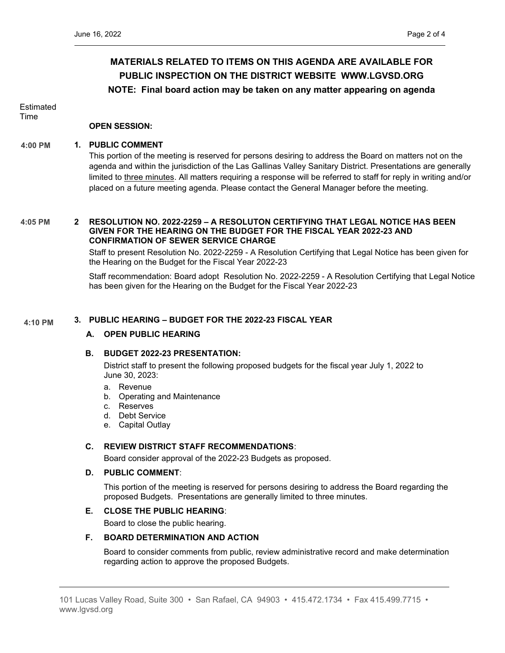# **MATERIALS RELATED TO ITEMS ON THIS AGENDA ARE AVAILABLE FOR PUBLIC INSPECTION ON THE DISTRICT WEBSITE [WWW.LGVSD.ORG](http://www.lgvsd.org/) NOTE: Final board action may be taken on any matter appearing on agenda**

**Estimated** Time

## **OPEN SESSION:**

#### **1. PUBLIC COMMENT 4:00 PM**

This portion of the meeting is reserved for persons desiring to address the Board on matters not on the agenda and within the jurisdiction of the Las Gallinas Valley Sanitary District. Presentations are generally limited to three minutes. All matters requiring a response will be referred to staff for reply in writing and/or placed on a future meeting agenda. Please contact the General Manager before the meeting.

#### **2 RESOLUTION NO. 2022-2259 – A RESOLUTON CERTIFYING THAT LEGAL NOTICE HAS BEEN GIVEN FOR THE HEARING ON THE BUDGET FOR THE FISCAL YEAR 2022-23 AND CONFIRMATION OF SEWER SERVICE CHARGE 4:05 PM**

Staff to present Resolution No. 2022-2259 - A Resolution Certifying that Legal Notice has been given for the Hearing on the Budget for the Fiscal Year 2022-23

Staff recommendation: Board adopt Resolution No. 2022-2259 - A Resolution Certifying that Legal Notice has been given for the Hearing on the Budget for the Fiscal Year 2022-23

#### **3. PUBLIC HEARING – BUDGET FOR THE 2022-23 FISCAL YEAR 4:10 PM**

### **A. OPEN PUBLIC HEARING**

### **B. BUDGET 2022-23 PRESENTATION:**

District staff to present the following proposed budgets for the fiscal year July 1, 2022 to June 30, 2023:

- a. Revenue
- b. Operating and Maintenance
- c. Reserves
- d. Debt Service
- e. Capital Outlay

## **C. REVIEW DISTRICT STAFF RECOMMENDATIONS**:

Board consider approval of the 2022-23 Budgets as proposed.

### **D. PUBLIC COMMENT**:

This portion of the meeting is reserved for persons desiring to address the Board regarding the proposed Budgets. Presentations are generally limited to three minutes.

## **E. CLOSE THE PUBLIC HEARING**:

Board to close the public hearing.

### **F. BOARD DETERMINATION AND ACTION**

Board to consider comments from public, review administrative record and make determination regarding action to approve the proposed Budgets.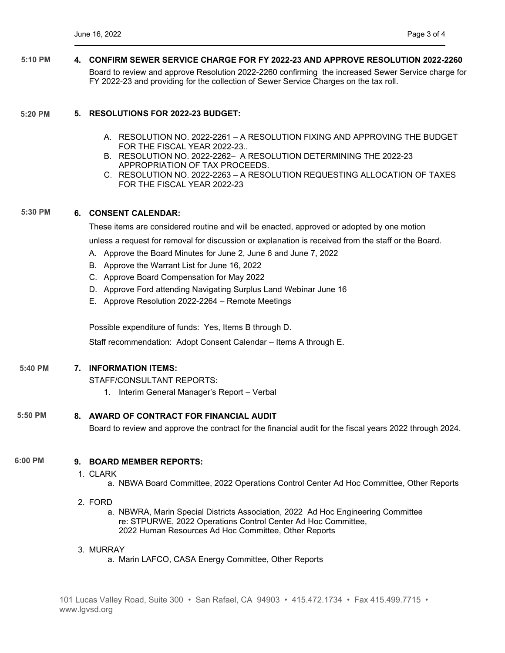**4. CONFIRM SEWER SERVICE CHARGE FOR FY 2022-23 AND APPROVE RESOLUTION 2022-2260** Board to review and approve Resolution 2022-2260 confirming the increased Sewer Service charge for FY 2022-23 and providing for the collection of Sewer Service Charges on the tax roll. **5:10 PM**

#### **5. RESOLUTIONS FOR 2022-23 BUDGET: 5:20 PM**

- A. RESOLUTION NO. 2022-2261 A RESOLUTION FIXING AND APPROVING THE BUDGET FOR THE FISCAL YEAR 2022-23..
- B. RESOLUTION NO. 2022-2262– A RESOLUTION DETERMINING THE 2022-23 APPROPRIATION OF TAX PROCEEDS.
- C. RESOLUTION NO. 2022-2263 A RESOLUTION REQUESTING ALLOCATION OF TAXES FOR THE FISCAL YEAR 2022-23

#### **6. CONSENT CALENDAR: 5:30 PM**

These items are considered routine and will be enacted, approved or adopted by one motion

unless a request for removal for discussion or explanation is received from the staff or the Board.

- A. Approve the Board Minutes for June 2, June 6 and June 7, 2022
- B. Approve the Warrant List for June 16, 2022
- C. Approve Board Compensation for May 2022
- D. Approve Ford attending Navigating Surplus Land Webinar June 16
- E. Approve Resolution 2022-2264 Remote Meetings

Possible expenditure of funds: Yes, Items B through D.

Staff recommendation: Adopt Consent Calendar – Items A through E.

#### **7. INFORMATION ITEMS: 5:40 PM**

STAFF/CONSULTANT REPORTS: 1. Interim General Manager's Report – Verbal

**8. AWARD OF CONTRACT FOR FINANCIAL AUDIT 5:50 PM**

Board to review and approve the contract for the financial audit for the fiscal years 2022 through 2024.

#### **9. BOARD MEMBER REPORTS: 6:00 PM**

- 1. CLARK
	- a. NBWA Board Committee, 2022 Operations Control Center Ad Hoc Committee, Other Reports
- 2. FORD
	- a. NBWRA, Marin Special Districts Association, 2022 Ad Hoc Engineering Committee re: STPURWE, 2022 Operations Control Center Ad Hoc Committee, 2022 Human Resources Ad Hoc Committee, Other Reports

### 3. MURRAY

a. Marin LAFCO, CASA Energy Committee, Other Reports